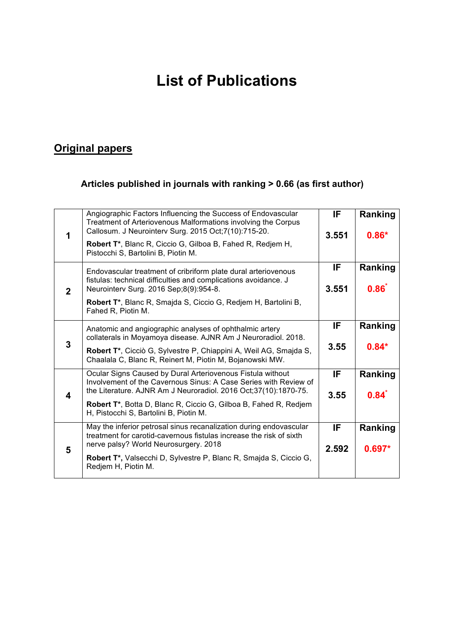# **List of Publications**

# **Original papers**

#### **Articles published in journals with ranking > 0.66 (as first author)**

| 1            | Angiographic Factors Influencing the Success of Endovascular<br>Treatment of Arteriovenous Malformations involving the Corpus<br>Callosum. J Neurointerv Surg. 2015 Oct;7(10):715-20.             | IF.          | Ranking             |
|--------------|---------------------------------------------------------------------------------------------------------------------------------------------------------------------------------------------------|--------------|---------------------|
|              | Robert T*, Blanc R, Ciccio G, Gilboa B, Fahed R, Redjem H,<br>Pistocchi S, Bartolini B, Piotin M.                                                                                                 | 3.551        | $0.86*$             |
| $\mathbf{2}$ | Endovascular treatment of cribriform plate dural arteriovenous<br>fistulas: technical difficulties and complications avoidance. J<br>Neurointerv Surg. 2016 Sep;8(9):954-8.                       | IF<br>3.551  | Ranking<br>0.86     |
|              | Robert T*, Blanc R, Smajda S, Ciccio G, Redjem H, Bartolini B,<br>Fahed R, Piotin M.                                                                                                              |              |                     |
| 3            | Anatomic and angiographic analyses of ophthalmic artery<br>collaterals in Moyamoya disease. AJNR Am J Neuroradiol. 2018.                                                                          | IF           | Ranking             |
|              | Robert T*, Cicciò G, Sylvestre P, Chiappini A, Weil AG, Smajda S,<br>Chaalala C, Blanc R, Reinert M, Piotin M, Bojanowski MW.                                                                     | 3.55         | $0.84*$             |
| 4            | Ocular Signs Caused by Dural Arteriovenous Fistula without<br>Involvement of the Cavernous Sinus: A Case Series with Review of<br>the Literature. AJNR Am J Neuroradiol. 2016 Oct;37(10):1870-75. | IF           | Ranking             |
|              | Robert T*, Botta D, Blanc R, Ciccio G, Gilboa B, Fahed R, Redjem<br>H, Pistocchi S, Bartolini B, Piotin M.                                                                                        | 3.55         | $0.84$ <sup>*</sup> |
| 5            | May the inferior petrosal sinus recanalization during endovascular<br>treatment for carotid-cavernous fistulas increase the risk of sixth<br>nerve palsy? World Neurosurgery. 2018                | IF.<br>2.592 | Ranking<br>$0.697*$ |
|              | Robert T*, Valsecchi D, Sylvestre P, Blanc R, Smajda S, Ciccio G,<br>Redjem H, Piotin M.                                                                                                          |              |                     |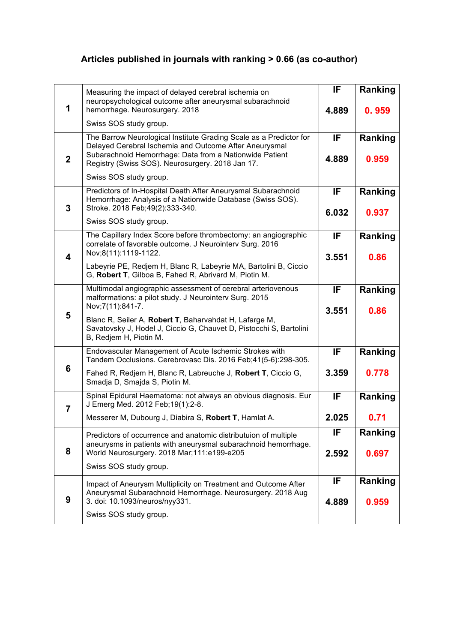## **Articles published in journals with ranking > 0.66 (as co-author)**

| 1                       | Measuring the impact of delayed cerebral ischemia on<br>neuropsychological outcome after aneurysmal subarachnoid<br>hemorrhage. Neurosurgery. 2018                                                                                          | IF<br>4.889 | Ranking<br>0.959 |
|-------------------------|---------------------------------------------------------------------------------------------------------------------------------------------------------------------------------------------------------------------------------------------|-------------|------------------|
|                         | Swiss SOS study group.                                                                                                                                                                                                                      |             |                  |
| $\overline{2}$          | The Barrow Neurological Institute Grading Scale as a Predictor for<br>Delayed Cerebral Ischemia and Outcome After Aneurysmal<br>Subarachnoid Hemorrhage: Data from a Nationwide Patient<br>Registry (Swiss SOS). Neurosurgery. 2018 Jan 17. | IF<br>4.889 | Ranking<br>0.959 |
|                         | Swiss SOS study group.                                                                                                                                                                                                                      |             |                  |
| 3                       | Predictors of In-Hospital Death After Aneurysmal Subarachnoid<br>Hemorrhage: Analysis of a Nationwide Database (Swiss SOS).<br>Stroke. 2018 Feb; 49(2): 333-340.                                                                            | IF          | Ranking          |
|                         | Swiss SOS study group.                                                                                                                                                                                                                      | 6.032       | 0.937            |
| $\overline{\mathbf{4}}$ | The Capillary Index Score before thrombectomy: an angiographic<br>correlate of favorable outcome. J Neurointerv Surg. 2016<br>Nov;8(11):1119-1122.                                                                                          | IF<br>3.551 | Ranking<br>0.86  |
|                         | Labeyrie PE, Redjem H, Blanc R, Labeyrie MA, Bartolini B, Ciccio<br>G, Robert T, Gilboa B, Fahed R, Abrivard M, Piotin M.                                                                                                                   |             |                  |
|                         | Multimodal angiographic assessment of cerebral arteriovenous<br>malformations: a pilot study. J Neurointerv Surg. 2015<br>Nov; 7(11): 841-7.                                                                                                | IF          | <b>Ranking</b>   |
| 5                       | Blanc R, Seiler A, Robert T, Baharvahdat H, Lafarge M,<br>Savatovsky J, Hodel J, Ciccio G, Chauvet D, Pistocchi S, Bartolini<br>B, Redjem H, Piotin M.                                                                                      | 3.551       | 0.86             |
|                         | Endovascular Management of Acute Ischemic Strokes with<br>Tandem Occlusions. Cerebrovasc Dis. 2016 Feb;41(5-6):298-305.                                                                                                                     | IF          | Ranking          |
| 6                       | Fahed R, Redjem H, Blanc R, Labreuche J, Robert T, Ciccio G,<br>Smadja D, Smajda S, Piotin M.                                                                                                                                               | 3.359       | 0.778            |
| $\overline{7}$          | Spinal Epidural Haematoma: not always an obvious diagnosis. Eur<br>J Emerg Med. 2012 Feb; 19(1): 2-8.                                                                                                                                       |             | Ranking          |
|                         | Messerer M, Dubourg J, Diabira S, Robert T, Hamlat A.                                                                                                                                                                                       | 2.025       | 0.71             |
| 8                       | Predictors of occurrence and anatomic distributuion of multiple<br>aneurysms in patients with aneurysmal subarachnoid hemorrhage.<br>World Neurosurgery. 2018 Mar;111:e199-e205                                                             | IF          | Ranking          |
|                         | Swiss SOS study group.                                                                                                                                                                                                                      | 2.592       | 0.697            |
|                         | Impact of Aneurysm Multiplicity on Treatment and Outcome After<br>Aneurysmal Subarachnoid Hemorrhage. Neurosurgery. 2018 Aug                                                                                                                | IF.         | Ranking          |
| 9                       | 3. doi: 10.1093/neuros/nyy331.<br>Swiss SOS study group.                                                                                                                                                                                    | 4.889       | 0.959            |
|                         |                                                                                                                                                                                                                                             |             |                  |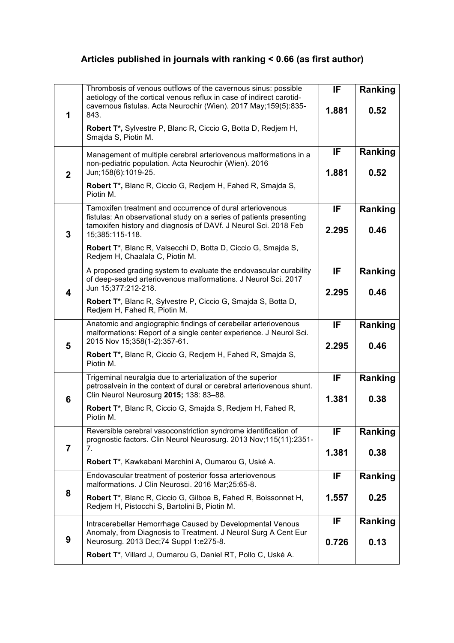## **Articles published in journals with ranking < 0.66 (as first author)**

|                | Thrombosis of venous outflows of the cavernous sinus: possible<br>aetiology of the cortical venous reflux in case of indirect carotid-                                                                                 | IF          | Ranking         |
|----------------|------------------------------------------------------------------------------------------------------------------------------------------------------------------------------------------------------------------------|-------------|-----------------|
| 1              | cavernous fistulas. Acta Neurochir (Wien). 2017 May;159(5):835-<br>843.                                                                                                                                                | 1.881       | 0.52            |
|                | Robert T*, Sylvestre P, Blanc R, Ciccio G, Botta D, Redjem H,<br>Smajda S, Piotin M.                                                                                                                                   |             |                 |
|                | Management of multiple cerebral arteriovenous malformations in a<br>non-pediatric population. Acta Neurochir (Wien). 2016                                                                                              | IF          | Ranking         |
| $\overline{2}$ | Jun;158(6):1019-25.<br>Robert T*, Blanc R, Ciccio G, Redjem H, Fahed R, Smajda S,                                                                                                                                      | 1.881       | 0.52            |
|                | Piotin M.                                                                                                                                                                                                              |             |                 |
| 3              | Tamoxifen treatment and occurrence of dural arteriovenous<br>fistulas: An observational study on a series of patients presenting<br>tamoxifen history and diagnosis of DAVf. J Neurol Sci. 2018 Feb<br>15;385:115-118. | IF<br>2.295 | Ranking<br>0.46 |
|                | Robert T*, Blanc R, Valsecchi D, Botta D, Ciccio G, Smajda S,<br>Redjem H, Chaalala C, Piotin M.                                                                                                                       |             |                 |
|                | A proposed grading system to evaluate the endovascular curability<br>of deep-seated arteriovenous malformations. J Neurol Sci. 2017                                                                                    | IF          | <b>Ranking</b>  |
| 4              | Jun 15;377:212-218.<br>Robert T*, Blanc R, Sylvestre P, Ciccio G, Smajda S, Botta D,                                                                                                                                   | 2.295       | 0.46            |
|                | Redjem H, Fahed R, Piotin M.                                                                                                                                                                                           |             |                 |
| 5              | Anatomic and angiographic findings of cerebellar arteriovenous<br>malformations: Report of a single center experience. J Neurol Sci.<br>2015 Nov 15;358(1-2):357-61.                                                   | IF<br>2.295 | Ranking<br>0.46 |
|                | Robert T*, Blanc R, Ciccio G, Redjem H, Fahed R, Smajda S,<br>Piotin M.                                                                                                                                                |             |                 |
|                | Trigeminal neuralgia due to arterialization of the superior<br>petrosalvein in the context of dural or cerebral arteriovenous shunt.                                                                                   | IF          | Ranking         |
| 6              | Clin Neurol Neurosurg 2015; 138: 83-88.<br>Robert T*, Blanc R, Ciccio G, Smajda S, Redjem H, Fahed R,<br>Piotin M.                                                                                                     | 1.381       | 0.38            |
|                | Reversible cerebral vasoconstriction syndrome identification of<br>prognostic factors. Clin Neurol Neurosurg. 2013 Nov;115(11):2351-                                                                                   | IF          | Ranking         |
| 7              | 7.                                                                                                                                                                                                                     | 1.381       | 0.38            |
|                | Robert T*, Kawkabani Marchini A, Oumarou G, Uské A.<br>Endovascular treatment of posterior fossa arteriovenous                                                                                                         | IF          |                 |
| 8              | malformations. J Clin Neurosci. 2016 Mar;25:65-8.                                                                                                                                                                      |             | Ranking         |
|                | Robert T*, Blanc R, Ciccio G, Gilboa B, Fahed R, Boissonnet H,<br>Redjem H, Pistocchi S, Bartolini B, Piotin M.                                                                                                        | 1.557       | 0.25            |
|                | Intracerebellar Hemorrhage Caused by Developmental Venous<br>Anomaly, from Diagnosis to Treatment. J Neurol Surg A Cent Eur                                                                                            | IF          | Ranking         |
| 9              | Neurosurg. 2013 Dec; 74 Suppl 1:e275-8.                                                                                                                                                                                | 0.726       | 0.13            |
|                | Robert T*, Villard J, Oumarou G, Daniel RT, Pollo C, Uské A.                                                                                                                                                           |             |                 |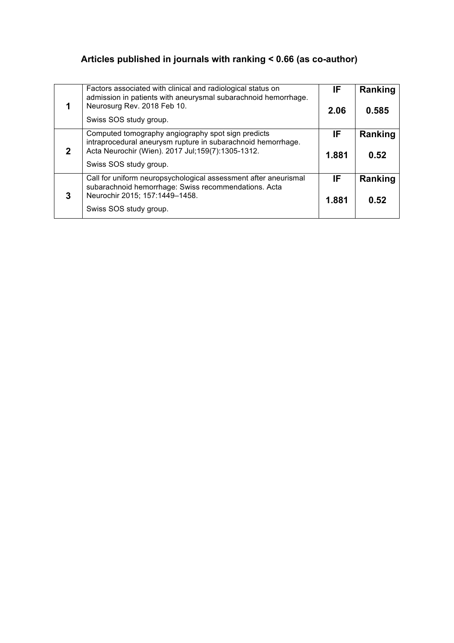## **Articles published in journals with ranking < 0.66 (as co-author)**

|   | Factors associated with clinical and radiological status on<br>admission in patients with aneurysmal subarachnoid hemorrhage.                                                                       |              | Ranking         |
|---|-----------------------------------------------------------------------------------------------------------------------------------------------------------------------------------------------------|--------------|-----------------|
|   | Neurosurg Rev. 2018 Feb 10.<br>Swiss SOS study group.                                                                                                                                               | 2.06         | 0.585           |
| 2 | Computed tomography angiography spot sign predicts<br>intraprocedural aneurysm rupture in subarachnoid hemorrhage.<br>Acta Neurochir (Wien). 2017 Jul; 159(7): 1305-1312.<br>Swiss SOS study group. | IF.<br>1,881 | Ranking<br>0.52 |
| 3 | Call for uniform neuropsychological assessment after aneurismal<br>subarachnoid hemorrhage: Swiss recommendations. Acta<br>Neurochir 2015; 157:1449-1458.<br>Swiss SOS study group.                 | IF.<br>1.881 | Ranking<br>0.52 |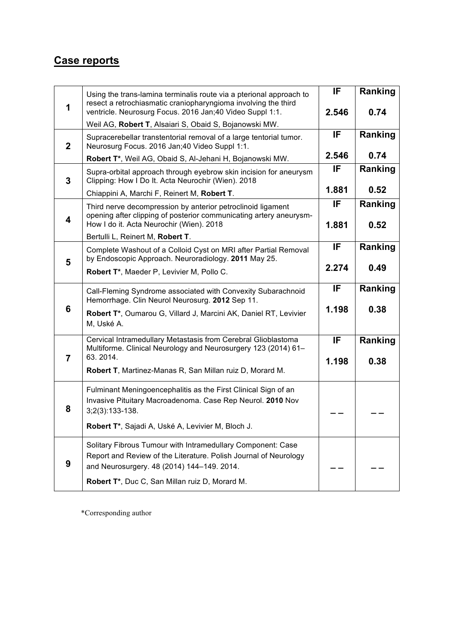#### **Case reports**

| 1                       | Using the trans-lamina terminalis route via a pterional approach to<br>resect a retrochiasmatic craniopharyngioma involving the third<br>ventricle. Neurosurg Focus. 2016 Jan;40 Video Suppl 1:1. | IF<br>2.546 | Ranking<br>0.74 |
|-------------------------|---------------------------------------------------------------------------------------------------------------------------------------------------------------------------------------------------|-------------|-----------------|
| $\mathbf{2}$            | Weil AG, Robert T, Alsaiari S, Obaid S, Bojanowski MW.<br>Supracerebellar transtentorial removal of a large tentorial tumor.<br>Neurosurg Focus. 2016 Jan;40 Video Suppl 1:1.                     | IF          | Ranking         |
|                         | Robert T*, Weil AG, Obaid S, Al-Jehani H, Bojanowski MW.                                                                                                                                          | 2.546       | 0.74            |
| 3                       | Supra-orbital approach through eyebrow skin incision for aneurysm<br>Clipping: How I Do It. Acta Neurochir (Wien). 2018                                                                           | IF          | Ranking         |
|                         | Chiappini A, Marchi F, Reinert M, Robert T.                                                                                                                                                       | 1.881       | 0.52            |
| $\overline{\mathbf{4}}$ | Third nerve decompression by anterior petroclinoid ligament<br>opening after clipping of posterior communicating artery aneurysm-<br>How I do it. Acta Neurochir (Wien). 2018                     | IF<br>1.881 | Ranking<br>0.52 |
|                         | Bertulli L, Reinert M, Robert T.                                                                                                                                                                  |             |                 |
| 5                       | Complete Washout of a Colloid Cyst on MRI after Partial Removal<br>by Endoscopic Approach. Neuroradiology. 2011 May 25.                                                                           | IF          | Ranking         |
|                         | Robert T*, Maeder P, Levivier M, Pollo C.                                                                                                                                                         | 2.274       | 0.49            |
|                         | Call-Fleming Syndrome associated with Convexity Subarachnoid<br>Hemorrhage. Clin Neurol Neurosurg. 2012 Sep 11.                                                                                   | IF          | Ranking         |
| 6                       | Robert T*, Oumarou G, Villard J, Marcini AK, Daniel RT, Levivier<br>M, Uské A.                                                                                                                    | 1.198       | 0.38            |
| $\overline{7}$          | Cervical Intramedullary Metastasis from Cerebral Glioblastoma<br>Multiforme. Clinical Neurology and Neurosurgery 123 (2014) 61-<br>63.2014.                                                       | IF          | Ranking         |
|                         | Robert T, Martinez-Manas R, San Millan ruiz D, Morard M.                                                                                                                                          | 1.198       | 0.38            |
| 8                       | Fulminant Meningoencephalitis as the First Clinical Sign of an<br>Invasive Pituitary Macroadenoma. Case Rep Neurol. 2010 Nov<br>$3;2(3):133-138.$                                                 |             |                 |
|                         | Robert T*, Sajadi A, Uské A, Levivier M, Bloch J.                                                                                                                                                 |             |                 |
| 9                       | Solitary Fibrous Tumour with Intramedullary Component: Case<br>Report and Review of the Literature. Polish Journal of Neurology<br>and Neurosurgery. 48 (2014) 144-149. 2014.                     |             |                 |
|                         | Robert T*, Duc C, San Millan ruiz D, Morard M.                                                                                                                                                    |             |                 |

\*Corresponding author